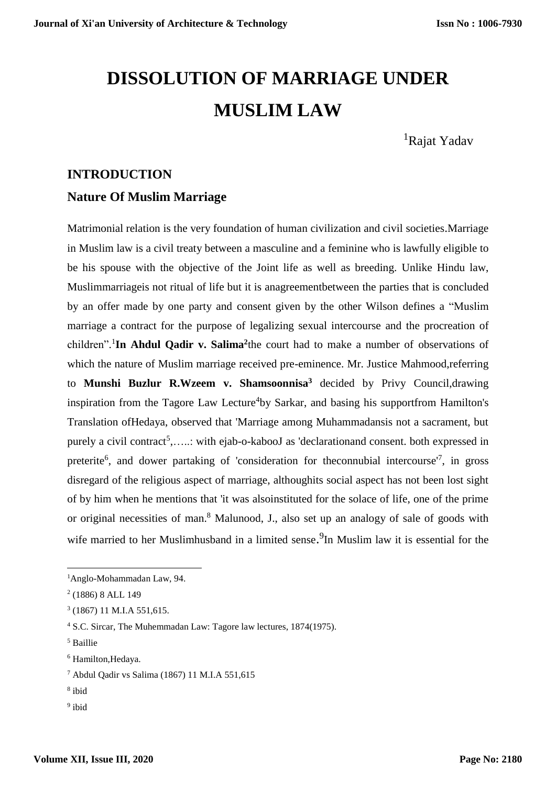# **DISSOLUTION OF MARRIAGE UNDER MUSLIM LAW**

<sup>1</sup>Rajat Yadav

# **INTRODUCTION**

# **Nature Of Muslim Marriage**

Matrimonial relation is the very foundation of human civilization and civil societies.Marriage in Muslim law is a civil treaty between a masculine and a feminine who is lawfully eligible to be his spouse with the objective of the Joint life as well as breeding. Unlike Hindu law, Muslimmarriageis not ritual of life but it is anagreementbetween the parties that is concluded by an offer made by one party and consent given by the other Wilson defines a "Muslim marriage a contract for the purpose of legalizing sexual intercourse and the procreation of children".<sup>1</sup>In Ahdul Qadir v. Salima<sup>2</sup>the court had to make a number of observations of which the nature of Muslim marriage received pre-eminence. Mr. Justice Mahmood,referring to **Munshi Buzlur R.Wzeem v. Shamsoonnisa<sup>3</sup>** decided by Privy Council,drawing inspiration from the Tagore Law Lecture<sup>4</sup>by Sarkar, and basing his supportfrom Hamilton's Translation ofHedaya, observed that 'Marriage among Muhammadansis not a sacrament, but purely a civil contract<sup>5</sup>,.....: with ejab-o-kabooJ as 'declarationand consent. both expressed in preterite<sup>6</sup>, and dower partaking of 'consideration for the connubial intercourse<sup>17</sup>, in gross disregard of the religious aspect of marriage, althoughits social aspect has not been lost sight of by him when he mentions that 'it was alsoinstituted for the solace of life, one of the prime or original necessities of man.<sup>8</sup> Malunood, J., also set up an analogy of sale of goods with wife married to her Muslimhusband in a limited sense.<sup>9</sup>In Muslim law it is essential for the

<sup>5</sup> Baillie

 $\overline{a}$ 

- 8 ibid
- <sup>9</sup> ibid

<sup>1</sup>Anglo-Mohammadan Law, 94.

<sup>2</sup> (1886) 8 ALL 149

<sup>3</sup> (1867) 11 M.I.A 551,615.

<sup>4</sup> S.C. Sircar, The Muhemmadan Law: Tagore law lectures, 1874(1975).

<sup>6</sup> Hamilton,Hedaya.

<sup>7</sup> Abdul Qadir vs Salima (1867) 11 M.I.A 551,615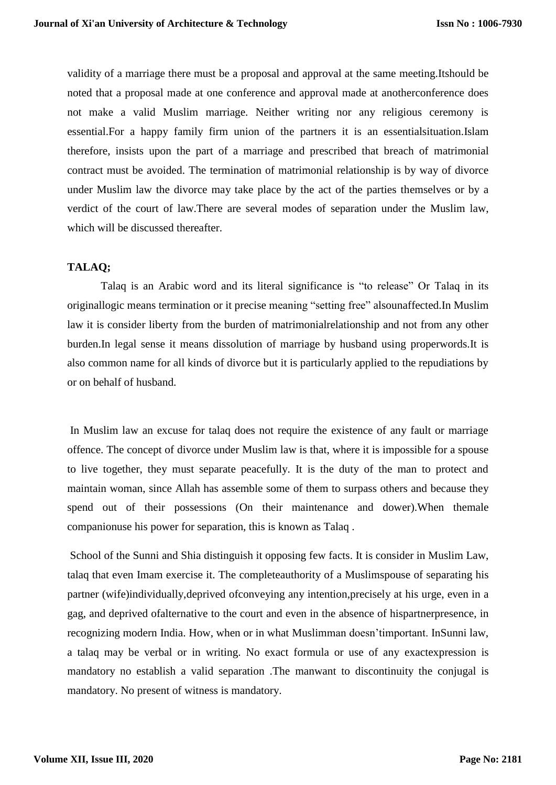validity of a marriage there must be a proposal and approval at the same meeting.Itshould be noted that a proposal made at one conference and approval made at anotherconference does not make a valid Muslim marriage. Neither writing nor any religious ceremony is essential.For a happy family firm union of the partners it is an essentialsituation.Islam therefore, insists upon the part of a marriage and prescribed that breach of matrimonial contract must be avoided. The termination of matrimonial relationship is by way of divorce under Muslim law the divorce may take place by the act of the parties themselves or by a verdict of the court of law.There are several modes of separation under the Muslim law, which will be discussed thereafter.

# **TALAQ;**

Talaq is an Arabic word and its literal significance is "to release" Or Talaq in its originallogic means termination or it precise meaning "setting free" alsounaffected.In Muslim law it is consider liberty from the burden of matrimonialrelationship and not from any other burden.In legal sense it means dissolution of marriage by husband using properwords.It is also common name for all kinds of divorce but it is particularly applied to the repudiations by or on behalf of husband.

In Muslim law an excuse for talaq does not require the existence of any fault or marriage offence. The concept of divorce under Muslim law is that, where it is impossible for a spouse to live together, they must separate peacefully. It is the duty of the man to protect and maintain woman, since Allah has assemble some of them to surpass others and because they spend out of their possessions (On their maintenance and dower).When themale companionuse his power for separation, this is known as Talaq .

School of the Sunni and Shia distinguish it opposing few facts. It is consider in Muslim Law, talaq that even Imam exercise it. The completeauthority of a Muslimspouse of separating his partner (wife)individually,deprived ofconveying any intention,precisely at his urge, even in a gag, and deprived ofalternative to the court and even in the absence of hispartnerpresence, in recognizing modern India. How, when or in what Muslimman doesn'timportant. InSunni law, a talaq may be verbal or in writing. No exact formula or use of any exactexpression is mandatory no establish a valid separation .The manwant to discontinuity the conjugal is mandatory. No present of witness is mandatory.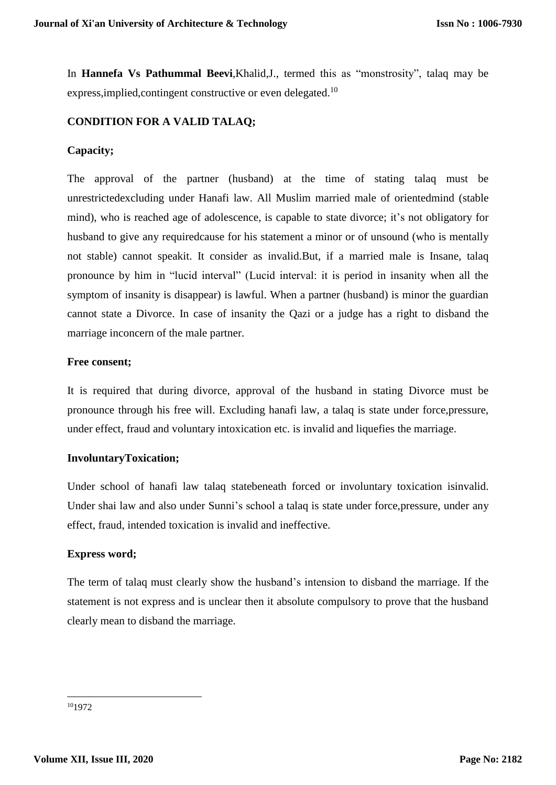In **Hannefa Vs Pathummal Beevi**,Khalid,J., termed this as "monstrosity", talaq may be express, implied, contingent constructive or even delegated.<sup>10</sup>

# **CONDITION FOR A VALID TALAQ;**

# **Capacity;**

The approval of the partner (husband) at the time of stating talaq must be unrestrictedexcluding under Hanafi law. All Muslim married male of orientedmind (stable mind), who is reached age of adolescence, is capable to state divorce; it's not obligatory for husband to give any requiredcause for his statement a minor or of unsound (who is mentally not stable) cannot speakit. It consider as invalid.But, if a married male is Insane, talaq pronounce by him in "lucid interval" (Lucid interval: it is period in insanity when all the symptom of insanity is disappear) is lawful. When a partner (husband) is minor the guardian cannot state a Divorce. In case of insanity the Qazi or a judge has a right to disband the marriage inconcern of the male partner.

# **Free consent;**

It is required that during divorce, approval of the husband in stating Divorce must be pronounce through his free will. Excluding hanafi law, a talaq is state under force,pressure, under effect, fraud and voluntary intoxication etc. is invalid and liquefies the marriage.

# **InvoluntaryToxication;**

Under school of hanafi law talaq statebeneath forced or involuntary toxication isinvalid. Under shai law and also under Sunni's school a talaq is state under force,pressure, under any effect, fraud, intended toxication is invalid and ineffective.

# **Express word;**

The term of talaq must clearly show the husband's intension to disband the marriage. If the statement is not express and is unclear then it absolute compulsory to prove that the husband clearly mean to disband the marriage.

**<sup>.</sup>** <sup>10</sup>1972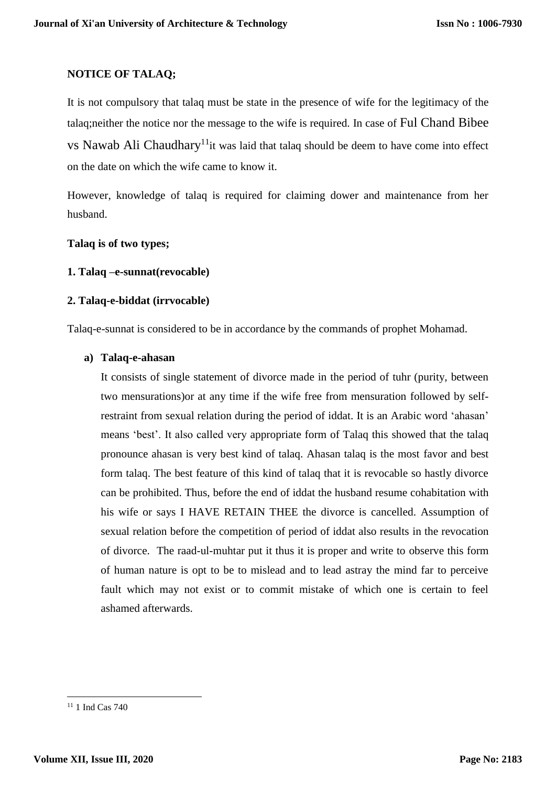# **NOTICE OF TALAQ;**

It is not compulsory that talaq must be state in the presence of wife for the legitimacy of the talaq;neither the notice nor the message to the wife is required. In case of Ful Chand Bibee vs Nawab Ali Chaudhary<sup>11</sup>it was laid that talaq should be deem to have come into effect on the date on which the wife came to know it.

However, knowledge of talaq is required for claiming dower and maintenance from her husband.

#### **Talaq is of two types;**

#### **1. Talaq –e-sunnat(revocable)**

#### **2. Talaq-e-biddat (irrvocable)**

Talaq-e-sunnat is considered to be in accordance by the commands of prophet Mohamad.

#### **a) Talaq-e-ahasan**

It consists of single statement of divorce made in the period of tuhr (purity, between two mensurations)or at any time if the wife free from mensuration followed by selfrestraint from sexual relation during the period of iddat. It is an Arabic word 'ahasan' means 'best'. It also called very appropriate form of Talaq this showed that the talaq pronounce ahasan is very best kind of talaq. Ahasan talaq is the most favor and best form talaq. The best feature of this kind of talaq that it is revocable so hastly divorce can be prohibited. Thus, before the end of iddat the husband resume cohabitation with his wife or says I HAVE RETAIN THEE the divorce is cancelled. Assumption of sexual relation before the competition of period of iddat also results in the revocation of divorce. The raad-ul-muhtar put it thus it is proper and write to observe this form of human nature is opt to be to mislead and to lead astray the mind far to perceive fault which may not exist or to commit mistake of which one is certain to feel ashamed afterwards.

**.** 

<sup>&</sup>lt;sup>11</sup> 1 Ind Cas 740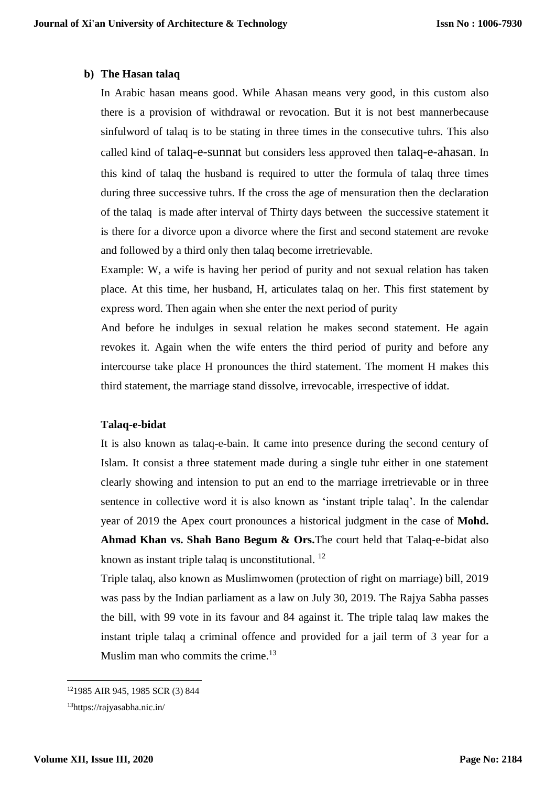#### **b) The Hasan talaq**

In Arabic hasan means good. While Ahasan means very good, in this custom also there is a provision of withdrawal or revocation. But it is not best mannerbecause sinfulword of talaq is to be stating in three times in the consecutive tuhrs. This also called kind of talaq-e-sunnat but considers less approved then talaq-e-ahasan. In this kind of talaq the husband is required to utter the formula of talaq three times during three successive tuhrs. If the cross the age of mensuration then the declaration of the talaq is made after interval of Thirty days between the successive statement it is there for a divorce upon a divorce where the first and second statement are revoke and followed by a third only then talaq become irretrievable.

Example: W, a wife is having her period of purity and not sexual relation has taken place. At this time, her husband, H, articulates talaq on her. This first statement by express word. Then again when she enter the next period of purity

And before he indulges in sexual relation he makes second statement. He again revokes it. Again when the wife enters the third period of purity and before any intercourse take place H pronounces the third statement. The moment H makes this third statement, the marriage stand dissolve, irrevocable, irrespective of iddat.

# **Talaq-e-bidat**

It is also known as talaq-e-bain. It came into presence during the second century of Islam. It consist a three statement made during a single tuhr either in one statement clearly showing and intension to put an end to the marriage irretrievable or in three sentence in collective word it is also known as 'instant triple talaq'. In the calendar year of 2019 the Apex court pronounces a historical judgment in the case of **Mohd. Ahmad Khan vs. Shah Bano Begum & Ors.**The court held that Talaq-e-bidat also known as instant triple talaq is unconstitutional. <sup>12</sup>

Triple talaq, also known as Muslimwomen (protection of right on marriage) bill, 2019 was pass by the Indian parliament as a law on July 30, 2019. The Rajya Sabha passes the bill, with 99 vote in its favour and 84 against it. The triple talaq law makes the instant triple talaq a criminal offence and provided for a jail term of 3 year for a Muslim man who commits the crime.<sup>13</sup>

 $\overline{a}$ 

<sup>12</sup>1985 AIR 945, 1985 SCR (3) 844

<sup>13</sup>https://rajyasabha.nic.in/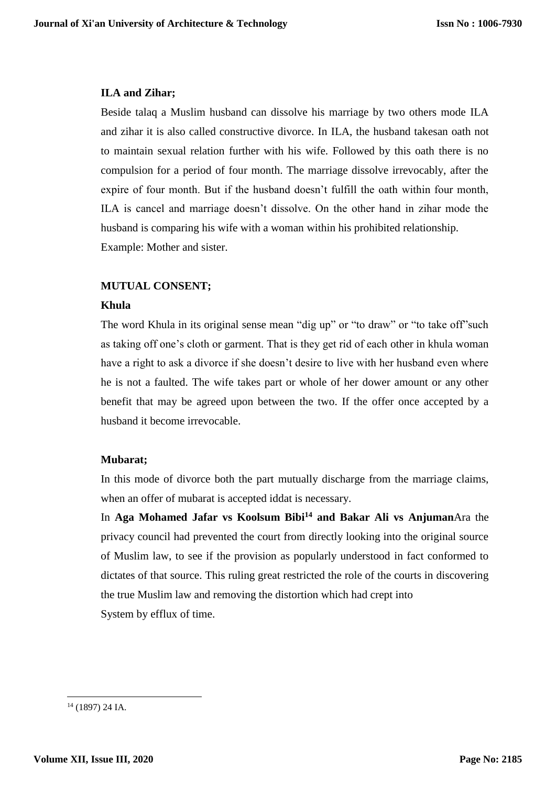#### **ILA and Zihar;**

Beside talaq a Muslim husband can dissolve his marriage by two others mode ILA and zihar it is also called constructive divorce. In ILA, the husband takesan oath not to maintain sexual relation further with his wife. Followed by this oath there is no compulsion for a period of four month. The marriage dissolve irrevocably, after the expire of four month. But if the husband doesn't fulfill the oath within four month, ILA is cancel and marriage doesn't dissolve. On the other hand in zihar mode the husband is comparing his wife with a woman within his prohibited relationship. Example: Mother and sister.

# **MUTUAL CONSENT;**

#### **Khula**

The word Khula in its original sense mean "dig up" or "to draw" or "to take off"such as taking off one's cloth or garment. That is they get rid of each other in khula woman have a right to ask a divorce if she doesn't desire to live with her husband even where he is not a faulted. The wife takes part or whole of her dower amount or any other benefit that may be agreed upon between the two. If the offer once accepted by a husband it become irrevocable.

# **Mubarat;**

In this mode of divorce both the part mutually discharge from the marriage claims, when an offer of mubarat is accepted iddat is necessary.

In **Aga Mohamed Jafar vs Koolsum Bibi<sup>14</sup> and Bakar Ali vs Anjuman**Ara the privacy council had prevented the court from directly looking into the original source of Muslim law, to see if the provision as popularly understood in fact conformed to dictates of that source. This ruling great restricted the role of the courts in discovering the true Muslim law and removing the distortion which had crept into System by efflux of time.

**.** 

<sup>14</sup> (1897) 24 IA.